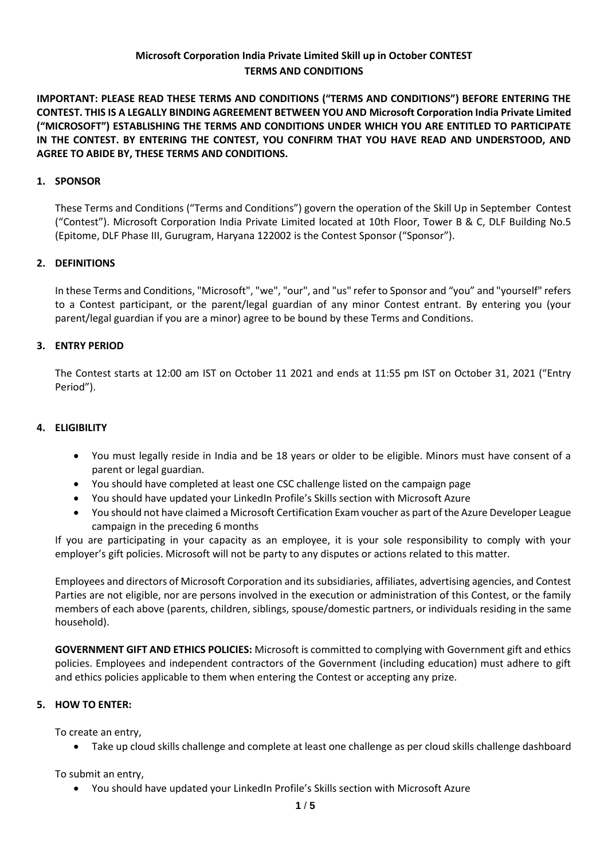# **Microsoft Corporation India Private Limited Skill up in October CONTEST TERMS AND CONDITIONS**

**IMPORTANT: PLEASE READ THESE TERMS AND CONDITIONS ("TERMS AND CONDITIONS") BEFORE ENTERING THE CONTEST. THIS IS A LEGALLY BINDING AGREEMENT BETWEEN YOU AND Microsoft Corporation India Private Limited ("MICROSOFT") ESTABLISHING THE TERMS AND CONDITIONS UNDER WHICH YOU ARE ENTITLED TO PARTICIPATE IN THE CONTEST. BY ENTERING THE CONTEST, YOU CONFIRM THAT YOU HAVE READ AND UNDERSTOOD, AND AGREE TO ABIDE BY, THESE TERMS AND CONDITIONS.**

## **1. SPONSOR**

These Terms and Conditions ("Terms and Conditions") govern the operation of the Skill Up in September Contest ("Contest"). Microsoft Corporation India Private Limited located at 10th Floor, Tower B & C, DLF Building No.5 (Epitome, DLF Phase III, Gurugram, Haryana 122002 is the Contest Sponsor ("Sponsor").

#### **2. DEFINITIONS**

In these Terms and Conditions, "Microsoft", "we", "our", and "us" refer to Sponsor and "you" and "yourself" refers to a Contest participant, or the parent/legal guardian of any minor Contest entrant. By entering you (your parent/legal guardian if you are a minor) agree to be bound by these Terms and Conditions.

#### **3. ENTRY PERIOD**

The Contest starts at 12:00 am IST on October 11 2021 and ends at 11:55 pm IST on October 31, 2021 ("Entry Period").

### **4. ELIGIBILITY**

- You must legally reside in India and be 18 years or older to be eligible. Minors must have consent of a parent or legal guardian.
- You should have completed at least one CSC challenge listed on the campaign page
- You should have updated your LinkedIn Profile's Skills section with Microsoft Azure
- You should not have claimed a Microsoft Certification Exam voucher as part of the Azure Developer League campaign in the preceding 6 months

If you are participating in your capacity as an employee, it is your sole responsibility to comply with your employer's gift policies. Microsoft will not be party to any disputes or actions related to this matter.

Employees and directors of Microsoft Corporation and its subsidiaries, affiliates, advertising agencies, and Contest Parties are not eligible, nor are persons involved in the execution or administration of this Contest, or the family members of each above (parents, children, siblings, spouse/domestic partners, or individuals residing in the same household).

**GOVERNMENT GIFT AND ETHICS POLICIES:** Microsoft is committed to complying with Government gift and ethics policies. Employees and independent contractors of the Government (including education) must adhere to gift and ethics policies applicable to them when entering the Contest or accepting any prize.

## **5. HOW TO ENTER:**

To create an entry,

• Take up cloud skills challenge and complete at least one challenge as per cloud skills challenge dashboard

To submit an entry,

• You should have updated your LinkedIn Profile's Skills section with Microsoft Azure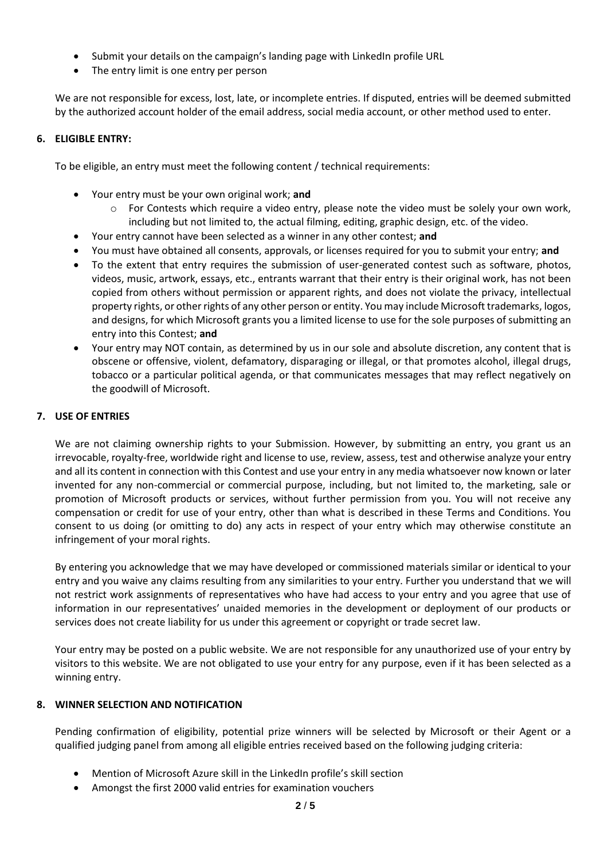- Submit your details on the campaign's landing page with LinkedIn profile URL
- The entry limit is one entry per person

We are not responsible for excess, lost, late, or incomplete entries. If disputed, entries will be deemed submitted by the authorized account holder of the email address, social media account, or other method used to enter.

## **6. ELIGIBLE ENTRY:**

To be eligible, an entry must meet the following content / technical requirements:

- Your entry must be your own original work; **and**
	- $\circ$  For Contests which require a video entry, please note the video must be solely your own work, including but not limited to, the actual filming, editing, graphic design, etc. of the video.
- Your entry cannot have been selected as a winner in any other contest; **and**
- You must have obtained all consents, approvals, or licenses required for you to submit your entry; **and**
- To the extent that entry requires the submission of user-generated contest such as software, photos, videos, music, artwork, essays, etc., entrants warrant that their entry is their original work, has not been copied from others without permission or apparent rights, and does not violate the privacy, intellectual property rights, or other rights of any other person or entity. You may include Microsoft trademarks, logos, and designs, for which Microsoft grants you a limited license to use for the sole purposes of submitting an entry into this Contest; **and**
- Your entry may NOT contain, as determined by us in our sole and absolute discretion, any content that is obscene or offensive, violent, defamatory, disparaging or illegal, or that promotes alcohol, illegal drugs, tobacco or a particular political agenda, or that communicates messages that may reflect negatively on the goodwill of Microsoft.

## **7. USE OF ENTRIES**

We are not claiming ownership rights to your Submission. However, by submitting an entry, you grant us an irrevocable, royalty-free, worldwide right and license to use, review, assess, test and otherwise analyze your entry and all its content in connection with this Contest and use your entry in any media whatsoever now known or later invented for any non-commercial or commercial purpose, including, but not limited to, the marketing, sale or promotion of Microsoft products or services, without further permission from you. You will not receive any compensation or credit for use of your entry, other than what is described in these Terms and Conditions. You consent to us doing (or omitting to do) any acts in respect of your entry which may otherwise constitute an infringement of your moral rights.

By entering you acknowledge that we may have developed or commissioned materials similar or identical to your entry and you waive any claims resulting from any similarities to your entry. Further you understand that we will not restrict work assignments of representatives who have had access to your entry and you agree that use of information in our representatives' unaided memories in the development or deployment of our products or services does not create liability for us under this agreement or copyright or trade secret law.

Your entry may be posted on a public website. We are not responsible for any unauthorized use of your entry by visitors to this website. We are not obligated to use your entry for any purpose, even if it has been selected as a winning entry.

#### **8. WINNER SELECTION AND NOTIFICATION**

Pending confirmation of eligibility, potential prize winners will be selected by Microsoft or their Agent or a qualified judging panel from among all eligible entries received based on the following judging criteria:

- Mention of Microsoft Azure skill in the LinkedIn profile's skill section
- Amongst the first 2000 valid entries for examination vouchers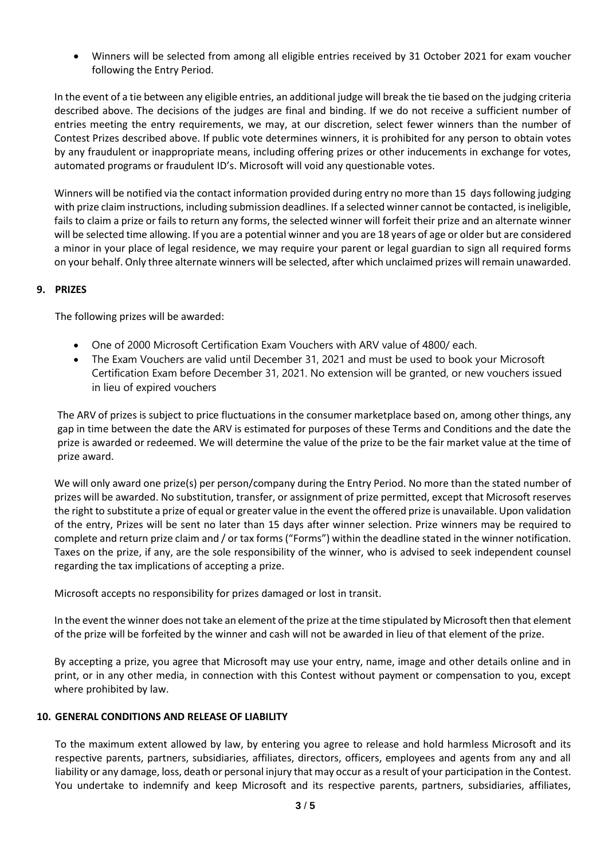• Winners will be selected from among all eligible entries received by 31 October 2021 for exam voucher following the Entry Period.

In the event of a tie between any eligible entries, an additional judge will break the tie based on the judging criteria described above. The decisions of the judges are final and binding. If we do not receive a sufficient number of entries meeting the entry requirements, we may, at our discretion, select fewer winners than the number of Contest Prizes described above. If public vote determines winners, it is prohibited for any person to obtain votes by any fraudulent or inappropriate means, including offering prizes or other inducements in exchange for votes, automated programs or fraudulent ID's. Microsoft will void any questionable votes.

Winners will be notified via the contact information provided during entry no more than 15 days following judging with prize claim instructions, including submission deadlines. If a selected winner cannot be contacted, is ineligible, fails to claim a prize or fails to return any forms, the selected winner will forfeit their prize and an alternate winner will be selected time allowing. If you are a potential winner and you are 18 years of age or older but are considered a minor in your place of legal residence, we may require your parent or legal guardian to sign all required forms on your behalf. Only three alternate winners will be selected, after which unclaimed prizes will remain unawarded.

## **9. PRIZES**

The following prizes will be awarded:

- One of 2000 Microsoft Certification Exam Vouchers with ARV value of 4800/ each.
- The Exam Vouchers are valid until December 31, 2021 and must be used to book your Microsoft Certification Exam before December 31, 2021. No extension will be granted, or new vouchers issued in lieu of expired vouchers

The ARV of prizes is subject to price fluctuations in the consumer marketplace based on, among other things, any gap in time between the date the ARV is estimated for purposes of these Terms and Conditions and the date the prize is awarded or redeemed. We will determine the value of the prize to be the fair market value at the time of prize award.

We will only award one prize(s) per person/company during the Entry Period. No more than the stated number of prizes will be awarded. No substitution, transfer, or assignment of prize permitted, except that Microsoft reserves the right to substitute a prize of equal or greater value in the event the offered prize is unavailable. Upon validation of the entry, Prizes will be sent no later than 15 days after winner selection. Prize winners may be required to complete and return prize claim and / or tax forms ("Forms") within the deadline stated in the winner notification. Taxes on the prize, if any, are the sole responsibility of the winner, who is advised to seek independent counsel regarding the tax implications of accepting a prize.

Microsoft accepts no responsibility for prizes damaged or lost in transit.

In the event the winner does not take an element of the prize at the time stipulated by Microsoft then that element of the prize will be forfeited by the winner and cash will not be awarded in lieu of that element of the prize.

By accepting a prize, you agree that Microsoft may use your entry, name, image and other details online and in print, or in any other media, in connection with this Contest without payment or compensation to you, except where prohibited by law.

#### **10. GENERAL CONDITIONS AND RELEASE OF LIABILITY**

To the maximum extent allowed by law, by entering you agree to release and hold harmless Microsoft and its respective parents, partners, subsidiaries, affiliates, directors, officers, employees and agents from any and all liability or any damage, loss, death or personal injury that may occur as a result of your participation in the Contest. You undertake to indemnify and keep Microsoft and its respective parents, partners, subsidiaries, affiliates,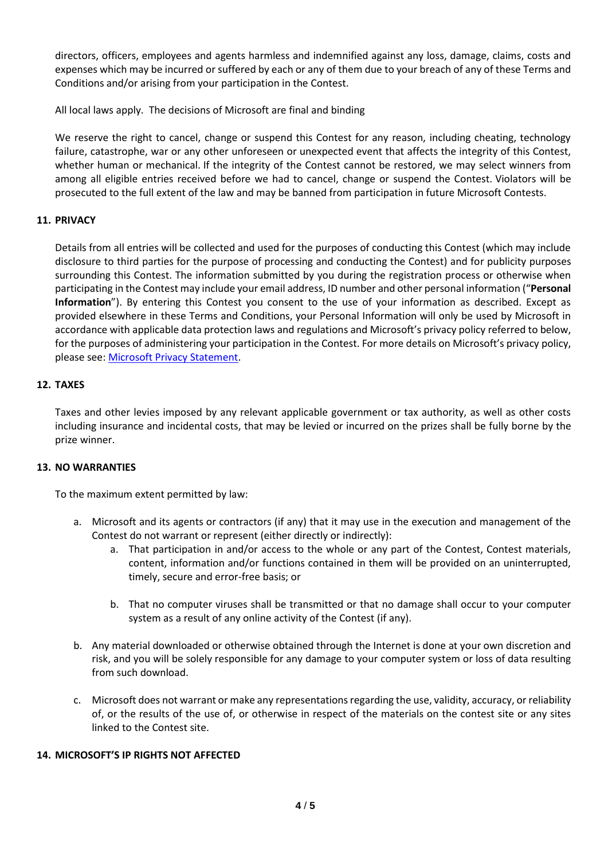directors, officers, employees and agents harmless and indemnified against any loss, damage, claims, costs and expenses which may be incurred or suffered by each or any of them due to your breach of any of these Terms and Conditions and/or arising from your participation in the Contest.

All local laws apply. The decisions of Microsoft are final and binding

We reserve the right to cancel, change or suspend this Contest for any reason, including cheating, technology failure, catastrophe, war or any other unforeseen or unexpected event that affects the integrity of this Contest, whether human or mechanical. If the integrity of the Contest cannot be restored, we may select winners from among all eligible entries received before we had to cancel, change or suspend the Contest. Violators will be prosecuted to the full extent of the law and may be banned from participation in future Microsoft Contests.

# **11. PRIVACY**

Details from all entries will be collected and used for the purposes of conducting this Contest (which may include disclosure to third parties for the purpose of processing and conducting the Contest) and for publicity purposes surrounding this Contest. The information submitted by you during the registration process or otherwise when participating in the Contest may include your email address, ID number and other personal information ("**Personal Information**"). By entering this Contest you consent to the use of your information as described. Except as provided elsewhere in these Terms and Conditions, your Personal Information will only be used by Microsoft in accordance with applicable data protection laws and regulations and Microsoft's privacy policy referred to below, for the purposes of administering your participation in the Contest. For more details on Microsoft's privacy policy, please see: [Microsoft Privacy Statement.](https://privacy.microsoft.com/en-us/privacystatement)

## **12. TAXES**

Taxes and other levies imposed by any relevant applicable government or tax authority, as well as other costs including insurance and incidental costs, that may be levied or incurred on the prizes shall be fully borne by the prize winner.

## **13. NO WARRANTIES**

To the maximum extent permitted by law:

- a. Microsoft and its agents or contractors (if any) that it may use in the execution and management of the Contest do not warrant or represent (either directly or indirectly):
	- a. That participation in and/or access to the whole or any part of the Contest, Contest materials, content, information and/or functions contained in them will be provided on an uninterrupted, timely, secure and error-free basis; or
	- b. That no computer viruses shall be transmitted or that no damage shall occur to your computer system as a result of any online activity of the Contest (if any).
- b. Any material downloaded or otherwise obtained through the Internet is done at your own discretion and risk, and you will be solely responsible for any damage to your computer system or loss of data resulting from such download.
- c. Microsoft does not warrant or make any representations regarding the use, validity, accuracy, or reliability of, or the results of the use of, or otherwise in respect of the materials on the contest site or any sites linked to the Contest site.

### **14. MICROSOFT'S IP RIGHTS NOT AFFECTED**